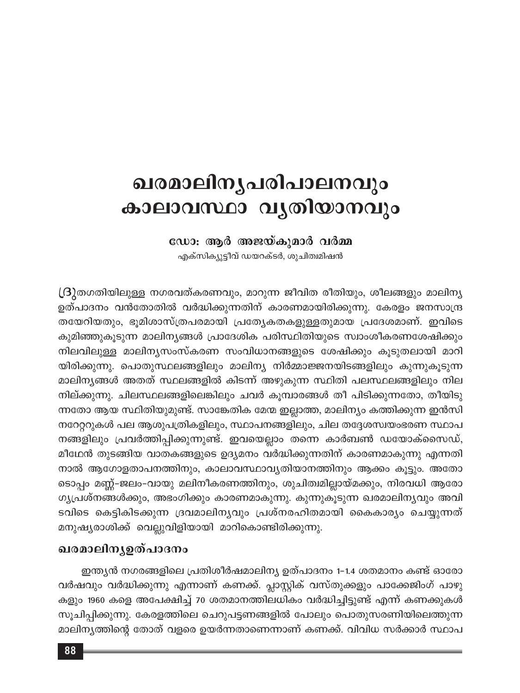# ഖരമാലിനൃപരിപാലനവും കാലാവസ്ഥാ വൃതിയാനവും

ഡോ: ആർ അജയ്കുമാർ വർമ്മ

എക്സിക്യുട്ടീവ് ഡയറക്ടർ, ശുചിത്വമിഷൻ

 $\lfloor 3 \rfloor$ തഗതിയിലുള്ള നഗരവത്കരണവും, മാറുന്ന ജീവിത രീതിയും, ശീലങ്ങളും മാലിന്യ ഉത്പാദനം വൻതോതിൽ വർദ്ധിക്കുന്നതിന് കാരണമായിരിക്കുന്നു. കേരളം ജനസാന്ദ്ര തയേറിയതും, ഭൂമിശാസ്ത്രപരമായി പ്രത്യേകതകളുള്ളതുമായ പ്രദേശമാണ്. ഇവിടെ കുമിഞ്ഞുകൂടുന്ന മാലിന്യങ്ങൾ പ്രാദേശിക പരിസ്ഥിതിയുടെ സ്വാംശീകരണശേഷിക്കും നിലവിലുള്ള മാലിനൃസംസ്കരണ സംവിധാനങ്ങളുടെ ശേഷിക്കും കൂടുതലായി മാറി യിരിക്കുന്നു. പൊതുസ്ഥലങ്ങളിലും മാലിന്യ നിർമ്മാജ്ജനയിടങ്ങളിലും കുന്നുകൂടുന്ന മാലിന്യങ്ങൾ അതത് സ്ഥലങ്ങളിൽ കിടന്ന് അഴുകുന്ന സ്ഥിതി പലസ്ഥലങ്ങളിലും നില നില്ക്കുന്നു. ചിലസ്ഥലങ്ങളിലെങ്കിലും ചവർ കൂമ്പാരങ്ങൾ തീ പിടിക്കുന്നതോ, തീയിടു ന്നതോ ആയ സ്ഥിതിയുമുണ്ട്. സാങ്കേതിക മേന്മ ഇല്ലാത്ത, മാലിന്യം കത്തിക്കുന്ന ഇൻസി നറേറ്ററുകൾ പല ആശുപത്രികളിലും, സ്ഥാപനങ്ങളിലും, ചില തദ്ദേശസ്ഥയംഭരണ സ്ഥാപ നങ്ങളിലും പ്രവർത്തിപ്പിക്കുന്നുണ്ട്. ഇവയെല്ലാം തന്നെ കാർബൺ ഡയോക്സൈഡ്, മീഥേൻ തുടങ്ങിയ വാതകങ്ങളുടെ ഉദ്യമനം വർദ്ധിക്കുന്നതിന് കാരണമാകുന്നു എന്നതി നാൽ ആഗോളതാപനത്തിനും, കാലാവസ്ഥാവൃതിയാനത്തിനും ആക്കം കൂട്ടും. അതോ ടൊപ്പം മണ്ണ്-ജലം-വായു മലിനീകരണത്തിനും, ശുചിത്വമില്ലായ്മക്കും, നിരവധി ആരോ ഗ്യപ്രശ്നങ്ങൾക്കും, അഭംഗിക്കും കാരണമാകുന്നു. കുന്നുകൂടുന്ന ഖരമാലിന്യവും അവി ടവിടെ കെട്ടികിടക്കുന്ന ദ്രവമാലിനൃവും പ്രശ്നരഹിതമായി കൈകാര്യം ചെയ്യുന്നത് മനുഷ്യരാശിക്ക് വെല്ലുവിളിയായി മാറികൊണ്ടിരിക്കുന്നു.

### ഖരമാലിനൃഉത്പാദനം

ഇന്ത്യൻ നഗരങ്ങളിലെ പ്രതിശീർഷമാലിന്യ ഉത്പാദനം 1-1.4 ശതമാനം കണ്ട് ഓരോ വർഷവും വർദ്ധിക്കുന്നു എന്നാണ് കണക്ക്. പ്ലാസ്റ്റിക് വസ്തുക്കളും പാക്കേജിംഗ് പാഴു കളും 1960 കളെ അപേക്ഷിച്ച് 70 ശതമാനത്തിലധികം വർദ്ധിച്ചിട്ടുണ്ട് എന്ന് കണക്കുകൾ സൂചിപ്പിക്കുന്നു. കേരളത്തിലെ ചെറുപട്ടണങ്ങളിൽ പോലും പൊതുസരണിയിലെത്തുന്ന മാലിന്യത്തിന്റെ തോത് വളരെ ഉയർന്നതാണെന്നാണ് കണക്ക്. വിവിധ സർക്കാർ സ്ഥാപ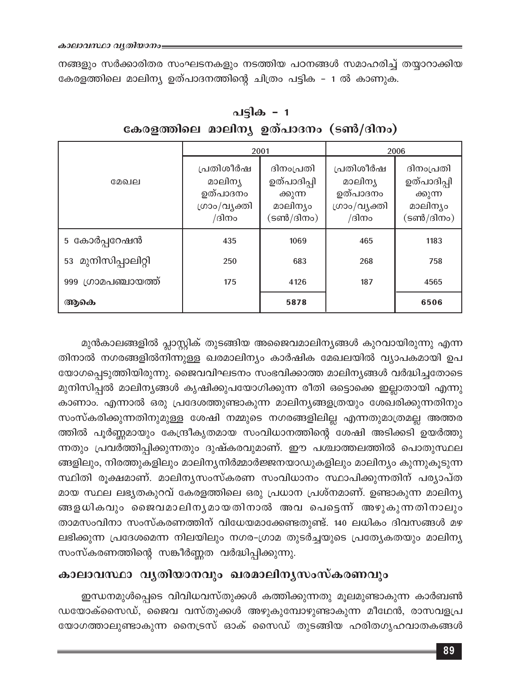നങ്ങളും സർക്കാരിതര സംഘടനകളും നടത്തിയ പഠനങ്ങൾ സമാഹരിച്ച് തയ്യാറാക്കിയ കേരളത്തിലെ മാലിന്യ ഉത്പാദനത്തിന്റെ ചിത്രം പട്ടിക - 1 ൽ കാണുക.

|                     |                                                           | 2001                                                         | 2006                                                      |                                                              |
|---------------------|-----------------------------------------------------------|--------------------------------------------------------------|-----------------------------------------------------------|--------------------------------------------------------------|
| മേഖല                | പ്രതിശീർഷ<br>മാലിന്യ<br>ഉത്പാദനം<br>ഗ്രാം/വൃക്തി<br>/ദിനം | ദിനംപ്രതി<br>ഉത്പാദിപ്പി<br>ക്കുന്ന<br>മാലിന്യം<br>(ടൺ/ദിനം) | പ്രതിശീർഷ<br>മാലിന്യ<br>ഉത്പാദനം<br>ഗ്രാം/വൃക്തി<br>/ദിനം | ദിനംപ്രതി<br>ഉത്പാദിപ്പി<br>ക്കുന്ന<br>മാലിന്യം<br>(ടൺ/ദിനം) |
| 5 കോർപ്പറേഷൻ        | 435                                                       | 1069                                                         | 465                                                       | 1183                                                         |
| 53 മുനിസിപ്പാലിറ്റി | 250                                                       | 683                                                          | 268                                                       | 758                                                          |
| 999 ഗ്രാമപഞ്ചായത്ത് | 175                                                       | 4126                                                         | 187                                                       | 4565                                                         |
| ആകെ                 |                                                           | 5878                                                         |                                                           | 6506                                                         |

പട്ടിക - 1 കേരളത്തിലെ മാലിന്യ ഉത്പാദനം (ടൺ/ദിനം)

മുൻകാലങ്ങളിൽ പ്ലാസ്റ്റിക് തുടങ്ങിയ അജൈവമാലിനൃങ്ങൾ കുറവായിരുന്നു എന്ന തിനാൽ നഗരങ്ങളിൽനിന്നുള്ള ഖരമാലിന്യം കാർഷിക മേഖലയിൽ വ്യാപകമായി ഉപ യോഗപ്പെടുത്തിയിരുന്നു. ജൈവവിഘടനം സംഭവിക്കാത്ത മാലിനൃങ്ങൾ വർദ്ധിച്ചതോടെ മുനിസിപ്പൽ മാലിന്യങ്ങൾ കൃഷിക്കുപയോഗിക്കുന്ന രീതി ഒട്ടൊക്കെ ഇല്ലാതായി എന്നു കാണാം. എന്നാൽ ഒരു പ്രദേശത്തുണ്ടാകുന്ന മാലിനൃങ്ങളത്രയും ശേഖരിക്കുന്നതിനും സംസ്കരിക്കുന്നതിനുമുള്ള ശേഷി നമ്മുടെ നഗരങ്ങളിലില്ല എന്നതുമാത്രമല്ല അത്തര ത്തിൽ പൂർണ്ണമായും കേന്ദ്രീകൃതമായ സംവിധാനത്തിന്റെ ശേഷി അടിക്കടി ഉയർത്തു ന്നതും പ്രവർത്തിപ്പിക്കുന്നതും ദുഷ്കരവുമാണ്. ഈ പശ്ചാത്തലത്തിൽ പൊതുസ്ഥല ങ്ങളിലും, നിരത്തുകളിലും മാലിന്യനിർമ്മാർജ്ജനയാഡുകളിലും മാലിന്യം കുന്നുകൂടുന്ന സ്ഥിതി രൂക്ഷമാണ്. മാലിനൃസംസ്കരണ സംവിധാനം സ്ഥാപിക്കുന്നതിന് പര്യാപ്ത മായ സ്ഥല ലഭ്യതകുറവ് കേരളത്തിലെ ഒരു പ്രധാന പ്രശ്നമാണ്. ഉണ്ടാകുന്ന മാലിന്യ ങ്ങളധികവും ജൈവമാലിനൃമായതിനാൽ അവ പെട്ടെന്ന് അഴുകുന്നതിനാലും താമസംവിനാ സംസ്കരണത്തിന് വിധേയമാക്കേണ്ടതുണ്ട്. 140 ലധികം ദിവസങ്ങൾ മഴ ലഭിക്കുന്ന പ്രദേശമെന്ന നിലയിലും നഗര-ഗ്രാമ തുടർച്ചയുടെ പ്രത്യേകതയും മാലിന്യ സംസ്കരണത്തിന്റെ സങ്കീർണ്ണത വർദ്ധിപ്പിക്കുന്നു.

## കാലാവസ്ഥാ വൃതിയാനവും ഖരമാലിനൃസംസ്കരണവും

ഇന്ധനമുൾപ്പെടെ വിവിധവസ്തുക്കൾ കത്തിക്കുന്നതു മൂലമുണ്ടാകുന്ന കാർബൺ ഡയോക്സൈഡ്, ജൈവ വസ്തുക്കൾ അഴുകുമ്പോഴുണ്ടാകുന്ന മീഥേൻ, രാസവളപ്ര യോഗത്താലുണ്ടാകുന്ന നൈട്രസ് ഓക് സൈഡ് തുടങ്ങിയ ഹരിതഗൃഹവാതകങ്ങൾ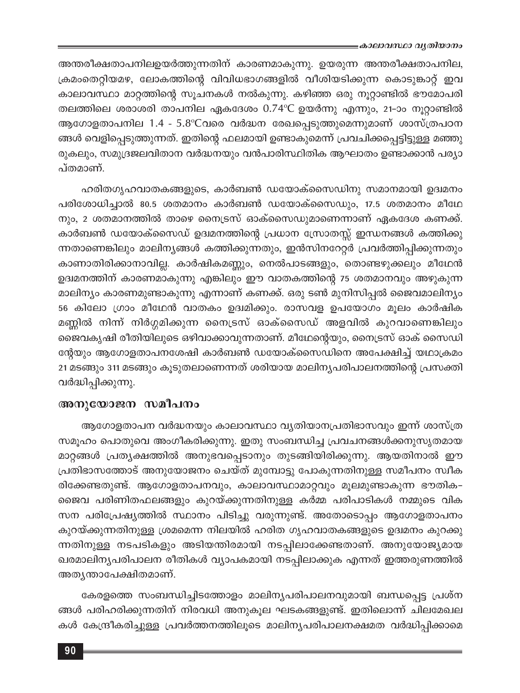അന്തരീക്ഷതാപനിലഉയർത്തുന്നതിന് കാരണമാകുന്നു. ഉയരുന്ന അന്തരീക്ഷതാപനില, ക്രമംതെറ്റിയമഴ, ലോകത്തിന്റെ വിവിധഭാഗങ്ങളിൽ വീശിയടിക്കുന്ന കൊടുങ്കാറ്റ് ഇവ കാലാവസ്ഥാ മാറ്റത്തിന്റെ സൂചനകൾ നൽകുന്നു. കഴിഞ്ഞ ഒരു നൂറ്റാണ്ടിൽ ഭൗമോപരി തലത്തിലെ ശരാശരി താപനില ഏകദേശം 0.74°C ഉയർന്നു എന്നും, 21-ാം നൂറ്റാണ്ടിൽ ആഗോളതാപനില 1.4 - 5.8°Cവരെ വർദ്ധന രേഖപ്പെടുത്തുമെന്നുമാണ് ശാസ്ത്രപഠന ങ്ങൾ വെളിപ്പെടുത്തുന്നത്. ഇതിന്റെ ഫലമായി ഉണ്ടാകുമെന്ന് പ്രവചിക്കപ്പെട്ടിട്ടുള്ള മഞ്ഞു രുകലും, സമുദ്രജലവിതാന വർദ്ധനയും വൻപാരിസ്ഥിതിക ആഘാതം ഉണ്ടാക്കാൻ പര്യാ പ്തമാണ്.

ഹരിതഗൃഹവാതകങ്ങളുടെ, കാർബൺ ഡയോക്സൈഡിനു സമാനമായി ഉദ്വമനം പരിശോധിച്ചാൽ 80.5 ശതമാനം കാർബൺ ഡയോക്സൈഡും, 17.5 ശതമാനം മീഥേ നും, 2 ശതമാനത്തിൽ താഴെ നൈട്രസ് ഓക്സൈഡുമാണെന്നാണ് ഏകദേശ കണക്ക്. കാർബൺ ഡയോക്സൈഡ് ഉദ്വമനത്തിന്റെ പ്രധാന സ്രോതസ്സ് ഇന്ധനങ്ങൾ കത്തിക്കു ന്നതാണെങ്കിലും മാലിനൃങ്ങൾ കത്തിക്കുന്നതും, ഇൻസിനറേറ്റർ പ്രവർത്തിപ്പിക്കുന്നതും കാണാതിരിക്കാനാവില്ല. കാർഷികമണ്ണും, നെൽപാടങ്ങളും, തൊണ്ടഴുക്കലും മീഥേൻ ഉദ്വമനത്തിന് കാരണമാകുന്നു എങ്കിലും ഈ വാതകത്തിന്റെ 75 ശതമാനവും അഴുകുന്ന മാലിന്യം കാരണമുണ്ടാകുന്നു എന്നാണ് കണക്ക്. ഒരു ടൺ മുനിസിപ്പൽ ജൈവമാലിന്യം 56 കിലോ ഗ്രാം മീഥേൻ വാതകം ഉദ്വമിക്കും. രാസവള ഉപയോഗം മൂലം കാർഷിക മണ്ണിൽ നിന്ന് നിർഗ്ഗമിക്കുന്ന നൈട്രസ് ഓക്സൈഡ് അളവിൽ കുറവാണെങ്കിലും ജൈവകൃഷി രീതിയിലുടെ ഒഴിവാക്കാവുന്നതാണ്. മീഥേന്റെയും, നൈട്രസ് ഓക് സൈഡി ന്റേയും ആഗോളതാപനശേഷി കാർബൺ ഡയോക്സൈഡിനെ അപേക്ഷിച്ച് യഥാക്രമം 21 മടങ്ങും 311 മടങ്ങും കൂടുതലാണെന്നത് ശരിയായ മാലിനൃപരിപാലനത്തിന്റെ പ്രസക്തി വർദ്ധിപ്പിക്കുന്നു.

#### അനുയോജന സമീപനം

ആഗോളതാപന വർദ്ധനയും കാലാവസ്ഥാ വ്യതിയാനപ്രതിഭാസവും ഇന്ന് ശാസ്ത്ര സമൂഹം പൊതുവെ അംഗീകരിക്കുന്നു. ഇതു സംബന്ധിച്ച പ്രവചനങ്ങൾക്കനുസൃതമായ മാറ്റങ്ങൾ പ്രത്യക്ഷത്തിൽ അനുഭവപ്പെടാനും തുടങ്ങിയിരിക്കുന്നു. ആയതിനാൽ ഈ പ്രതിഭാസത്തോട് അനുയോജനം ചെയ്ത് മുമ്പോട്ടു പോകുന്നതിനുള്ള സമീപനം സ്വീക രിക്കേണ്ടതുണ്ട്. ആഗോളതാപനവും, കാലാവസ്ഥാമാറ്റവും മൂലമുണ്ടാകുന്ന ഭൗതിക-ജൈവ പരിണിതഫലങ്ങളും കുറയ്ക്കുന്നതിനുള്ള കർമ്മ പരിപാടികൾ നമ്മുടെ വിക സന പരിപ്രേഷ്യത്തിൽ സ്ഥാനം പിടിച്ചു വരുന്നുണ്ട്. അതോടൊപ്പം ആഗോളതാപനം കുറയ്ക്കുന്നതിനുള്ള ശ്രമമെന്ന നിലയിൽ ഹരിത ഗൃഹവാതകങ്ങളുടെ ഉദ്വമനം കുറക്കു ന്നതിനുള്ള നടപടികളും അടിയന്തിരമായി നടപ്പിലാക്കേണ്ടതാണ്. അനുയോജ്യമായ ഖരമാലിന്യപരിപാലന രീതികൾ വ്യാപകമായി നടപ്പിലാക്കുക എന്നത് ഇത്തരുണത്തിൽ അതൃന്താപേക്ഷിതമാണ്.

കേരളത്തെ സംബന്ധിച്ചിടത്തോളം മാലിന്യപരിപാലനവുമായി ബന്ധപ്പെട്ട പ്രശ്ന ങ്ങൾ പരിഹരിക്കുന്നതിന് നിരവധി അനുകൂല ഘടകങ്ങളുണ്ട്. ഇതിലൊന്ന് ചിലമേഖല കൾ കേന്ദ്രീകരിച്ചുള്ള പ്രവർത്തനത്തിലൂടെ മാലിന്യപരിപാലനക്ഷമത വർദ്ധിപ്പിക്കാമെ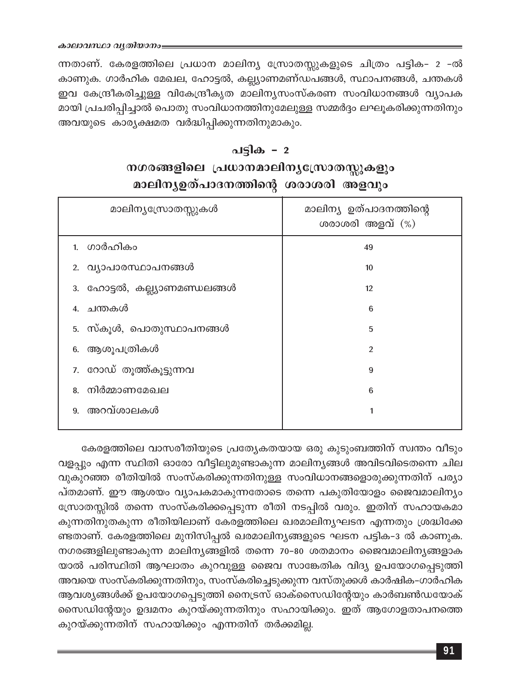ന്നതാണ്. കേരളത്തിലെ പ്രധാന മാലിന്യ സ്രോതസ്സുകളുടെ ചിത്രം പട്ടിക- 2 -ൽ കാണുക. ഗാർഹിക മേഖല, ഹോട്ടൽ, കല്ല്യാണമണ്ഡപങ്ങൾ, സ്ഥാപനങ്ങൾ, ചന്തകൾ ഇവ കേന്ദ്രീകരിച്ചുള്ള വികേന്ദ്രീകൃത മാലിന്യസംസ്കരണ സംവിധാനങ്ങൾ വ്യാപക മായി പ്രചരിപ്പിച്ചാൽ പൊതു സംവിധാനത്തിനുമേലുള്ള സമ്മർദ്ദം ലഘൂകരിക്കുന്നതിനും അവയുടെ കാര്യക്ഷമത വർദ്ധിപ്പിക്കുന്നതിനുമാകും.

#### പട്ടിക - 2

## നഗരങ്ങളിലെ പ്രധാനമാലിനൃസ്രോതസ്സുകളും മാലിന്യഉത്പാദനത്തിന്റെ ശരാശരി അളവും

| മാലിന്യസ്രോതസ്സുകൾ           | മാലിന്യ ഉത്പാദനത്തിന്റെ<br>ശരാശരി അളവ് $(\%)$ |  |
|------------------------------|-----------------------------------------------|--|
| 1. ഗാർഹികം                   | 49                                            |  |
| 2. വ്യാപാരസ്ഥാപനങ്ങൾ         | 10                                            |  |
| 3. ഹോട്ടൽ, കല്ല്യാണമണ്ഡലങ്ങൾ | 12                                            |  |
| 4. ചന്തകൾ                    | 6                                             |  |
| 5. സ്കൂൾ, പൊതുസ്ഥാപനങ്ങൾ     | 5                                             |  |
| 6. ആശൂപത്രികൾ                | $\mathfrak{p}$                                |  |
| 7. റോഡ് തൂത്ത്കൂട്ടുന്നവ     | 9                                             |  |
| 8. നിർമ്മാണമേഖല              | 6                                             |  |
| 9. അറവ്ശാലകൾ                 |                                               |  |
|                              |                                               |  |

കേരളത്തിലെ വാസരീതിയുടെ പ്രത്യേകതയായ ഒരു കുടുംബത്തിന് സ്വന്തം വീടും വളപ്പും എന്ന സ്ഥിതി ഓരോ വീട്ടിലുമുണ്ടാകുന്ന മാലിന്യങ്ങൾ അവിടവിടെതന്നെ ചില വുകുറഞ്ഞ രീതിയിൽ സംസ്കരിക്കുന്നതിനുള്ള സംവിധാനങ്ങളൊരുക്കുന്നതിന് പര്യാ പ്തമാണ്. ഈ ആശയം വ്യാപകമാകുന്നതോടെ തന്നെ പകുതിയോളം ജൈവമാലിന്യം സ്രോതസ്സിൽ തന്നെ സംസ്കരിക്കപ്പെടുന്ന രീതി നടപ്പിൽ വരും. ഇതിന് സഹായകമാ കുന്നതിനുതകുന്ന രീതിയിലാണ് കേരളത്തിലെ ഖരമാലിന്യഘടന എന്നതും ശ്രദ്ധിക്കേ ണ്ടതാണ്. കേരളത്തിലെ മുനിസിപ്പൽ ഖരമാലിന്യങ്ങളുടെ ഘടന പട്ടിക-3 ൽ കാണുക. നഗരങ്ങളിലുണ്ടാകുന്ന മാലിന്യങ്ങളിൽ തന്നെ 70-80 ശതമാനം ജൈവമാലിന്യങ്ങളാക യാൽ പരിസ്ഥിതി ആഘാതം കുറവുള്ള ജൈവ സാങ്കേതിക വിദ്യ ഉപയോഗപ്പെടുത്തി അവയെ സംസ്കരിക്കുന്നതിനും, സംസ്കരിച്ചെടുക്കുന്ന വസ്തുക്കൾ കാർഷിക-ഗാർഹിക ആവശ്യങ്ങൾക്ക് ഉപയോഗപ്പെടുത്തി നൈട്രസ് ഓക്സൈഡിന്റേയും കാർബൺഡയോക് സൈഡിന്റേയും ഉദ്വമനം കുറയ്ക്കുന്നതിനും സഹായിക്കും. ഇത് ആഗോളതാപനത്തെ കുറയ്ക്കുന്നതിന് സഹായിക്കും എന്നതിന് തർക്കമില്ല.